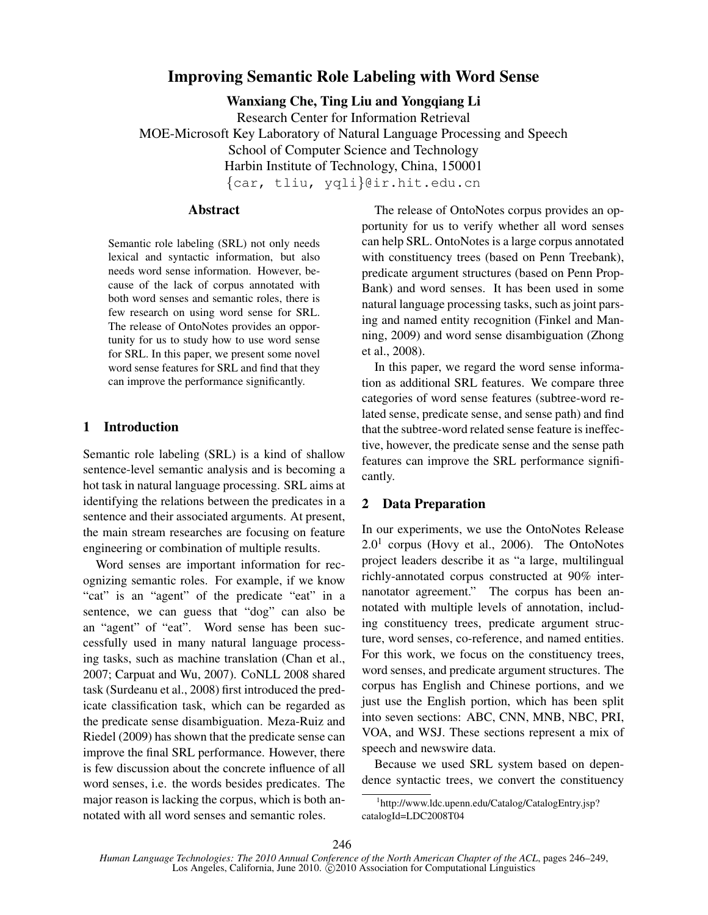# Improving Semantic Role Labeling with Word Sense

Wanxiang Che, Ting Liu and Yongqiang Li

Research Center for Information Retrieval MOE-Microsoft Key Laboratory of Natural Language Processing and Speech School of Computer Science and Technology Harbin Institute of Technology, China, 150001 *{*car, tliu, yqli*}*@ir.hit.edu.cn

## Abstract

Semantic role labeling (SRL) not only needs lexical and syntactic information, but also needs word sense information. However, because of the lack of corpus annotated with both word senses and semantic roles, there is few research on using word sense for SRL. The release of OntoNotes provides an opportunity for us to study how to use word sense for SRL. In this paper, we present some novel word sense features for SRL and find that they can improve the performance significantly.

## 1 Introduction

Semantic role labeling (SRL) is a kind of shallow sentence-level semantic analysis and is becoming a hot task in natural language processing. SRL aims at identifying the relations between the predicates in a sentence and their associated arguments. At present, the main stream researches are focusing on feature engineering or combination of multiple results.

Word senses are important information for recognizing semantic roles. For example, if we know "cat" is an "agent" of the predicate "eat" in a sentence, we can guess that "dog" can also be an "agent" of "eat". Word sense has been successfully used in many natural language processing tasks, such as machine translation (Chan et al., 2007; Carpuat and Wu, 2007). CoNLL 2008 shared task (Surdeanu et al., 2008) first introduced the predicate classification task, which can be regarded as the predicate sense disambiguation. Meza-Ruiz and Riedel (2009) has shown that the predicate sense can improve the final SRL performance. However, there is few discussion about the concrete influence of all word senses, i.e. the words besides predicates. The major reason is lacking the corpus, which is both annotated with all word senses and semantic roles.

The release of OntoNotes corpus provides an opportunity for us to verify whether all word senses can help SRL. OntoNotes is a large corpus annotated with constituency trees (based on Penn Treebank), predicate argument structures (based on Penn Prop-Bank) and word senses. It has been used in some natural language processing tasks, such as joint parsing and named entity recognition (Finkel and Manning, 2009) and word sense disambiguation (Zhong et al., 2008).

In this paper, we regard the word sense information as additional SRL features. We compare three categories of word sense features (subtree-word related sense, predicate sense, and sense path) and find that the subtree-word related sense feature is ineffective, however, the predicate sense and the sense path features can improve the SRL performance significantly.

## 2 Data Preparation

In our experiments, we use the OntoNotes Release  $2.0<sup>1</sup>$  corpus (Hovy et al., 2006). The OntoNotes project leaders describe it as "a large, multilingual richly-annotated corpus constructed at 90% internanotator agreement." The corpus has been annotated with multiple levels of annotation, including constituency trees, predicate argument structure, word senses, co-reference, and named entities. For this work, we focus on the constituency trees, word senses, and predicate argument structures. The corpus has English and Chinese portions, and we just use the English portion, which has been split into seven sections: ABC, CNN, MNB, NBC, PRI, VOA, and WSJ. These sections represent a mix of speech and newswire data.

Because we used SRL system based on dependence syntactic trees, we convert the constituency

<sup>1</sup> http://www.ldc.upenn.edu/Catalog/CatalogEntry.jsp? catalogId=LDC2008T04

*Human Language Technologies: The 2010 Annual Conference of the North American Chapter of the ACL*, pages 246–249, Los Angeles, California, June 2010. C 2010 Association for Computational Linguistics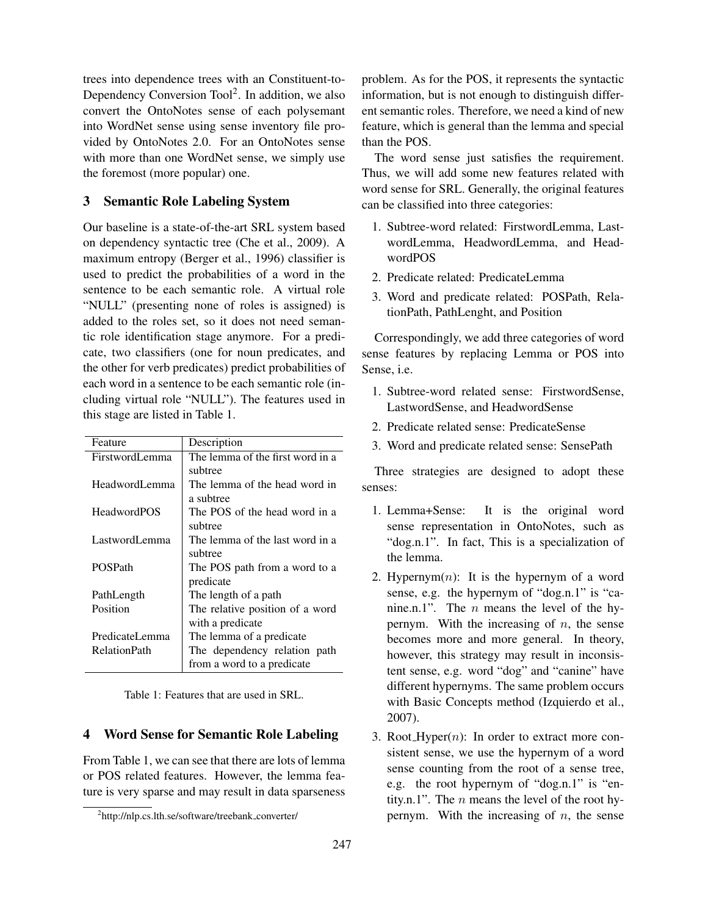trees into dependence trees with an Constituent-to-Dependency Conversion Tool<sup>2</sup>. In addition, we also convert the OntoNotes sense of each polysemant into WordNet sense using sense inventory file provided by OntoNotes 2.0. For an OntoNotes sense with more than one WordNet sense, we simply use the foremost (more popular) one.

# 3 Semantic Role Labeling System

Our baseline is a state-of-the-art SRL system based on dependency syntactic tree (Che et al., 2009). A maximum entropy (Berger et al., 1996) classifier is used to predict the probabilities of a word in the sentence to be each semantic role. A virtual role "NULL" (presenting none of roles is assigned) is added to the roles set, so it does not need semantic role identification stage anymore. For a predicate, two classifiers (one for noun predicates, and the other for verb predicates) predict probabilities of each word in a sentence to be each semantic role (including virtual role "NULL"). The features used in this stage are listed in Table 1.

| Feature               | Description                      |
|-----------------------|----------------------------------|
| <b>FirstwordLemma</b> | The lemma of the first word in a |
|                       | subtree                          |
| HeadwordLemma         | The lemma of the head word in    |
|                       | a subtree                        |
| <b>HeadwordPOS</b>    | The POS of the head word in a    |
|                       | subtree                          |
| LastwordLemma         | The lemma of the last word in a  |
|                       | subtree                          |
| <b>POSPath</b>        | The POS path from a word to a    |
|                       | predicate                        |
| PathLength            | The length of a path             |
| Position              | The relative position of a word  |
|                       | with a predicate                 |
| PredicateLemma        | The lemma of a predicate         |
| <b>RelationPath</b>   | The dependency relation path     |
|                       | from a word to a predicate       |

Table 1: Features that are used in SRL.

### 4 Word Sense for Semantic Role Labeling

From Table 1, we can see that there are lots of lemma or POS related features. However, the lemma feature is very sparse and may result in data sparseness problem. As for the POS, it represents the syntactic information, but is not enough to distinguish different semantic roles. Therefore, we need a kind of new feature, which is general than the lemma and special than the POS.

The word sense just satisfies the requirement. Thus, we will add some new features related with word sense for SRL. Generally, the original features can be classified into three categories:

- 1. Subtree-word related: FirstwordLemma, LastwordLemma, HeadwordLemma, and HeadwordPOS
- 2. Predicate related: PredicateLemma
- 3. Word and predicate related: POSPath, RelationPath, PathLenght, and Position

Correspondingly, we add three categories of word sense features by replacing Lemma or POS into Sense, i.e.

- 1. Subtree-word related sense: FirstwordSense, LastwordSense, and HeadwordSense
- 2. Predicate related sense: PredicateSense
- 3. Word and predicate related sense: SensePath

Three strategies are designed to adopt these senses:

- 1. Lemma+Sense: It is the original word sense representation in OntoNotes, such as "dog.n.1". In fact, This is a specialization of the lemma.
- 2. Hypernym $(n)$ : It is the hypernym of a word sense, e.g. the hypernym of "dog.n.1" is "canine.n.1". The *n* means the level of the hypernym. With the increasing of *n*, the sense becomes more and more general. In theory, however, this strategy may result in inconsistent sense, e.g. word "dog" and "canine" have different hypernyms. The same problem occurs with Basic Concepts method (Izquierdo et al., 2007).
- 3. Root\_Hyper $(n)$ : In order to extract more consistent sense, we use the hypernym of a word sense counting from the root of a sense tree, e.g. the root hypernym of "dog.n.1" is "entity.n.1". The *n* means the level of the root hypernym. With the increasing of *n*, the sense

<sup>&</sup>lt;sup>2</sup>http://nlp.cs.lth.se/software/treebank\_converter/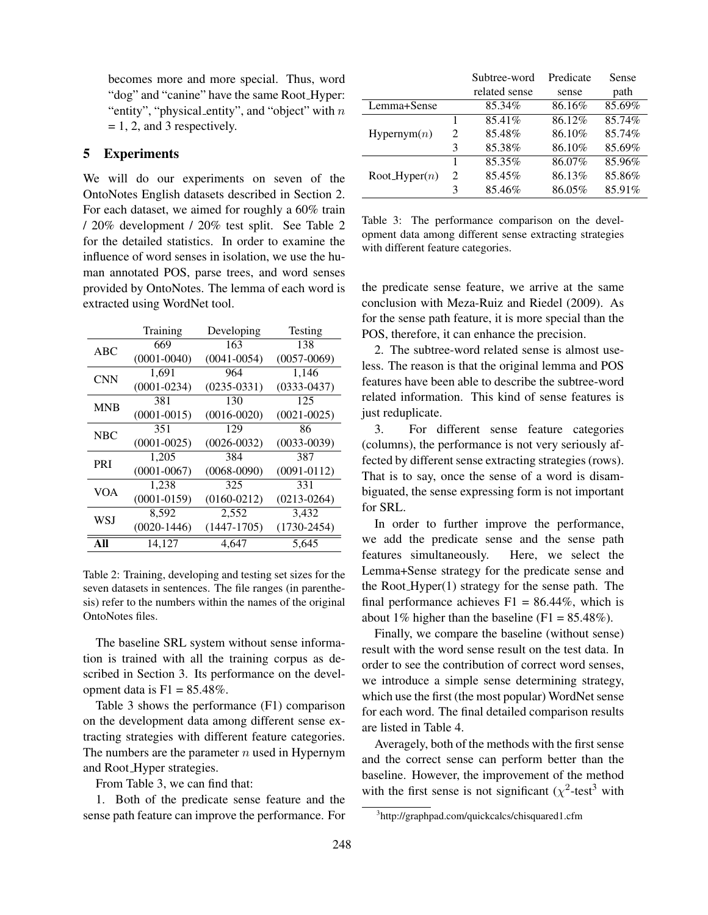becomes more and more special. Thus, word "dog" and "canine" have the same Root Hyper: "entity", "physical entity", and "object" with *n*  $= 1, 2,$  and 3 respectively.

### 5 Experiments

We will do our experiments on seven of the OntoNotes English datasets described in Section 2. For each dataset, we aimed for roughly a 60% train / 20% development / 20% test split. See Table 2 for the detailed statistics. In order to examine the influence of word senses in isolation, we use the human annotated POS, parse trees, and word senses provided by OntoNotes. The lemma of each word is extracted using WordNet tool.

|            | Training        | Developing      | Testing         |
|------------|-----------------|-----------------|-----------------|
| ABC        | 669             | 163             | 138             |
|            | $(0001 - 0040)$ | $(0041 - 0054)$ | $(0057 - 0069)$ |
| <b>CNN</b> | 1.691           | 964             | 1,146           |
|            | $(0001 - 0234)$ | $(0235 - 0331)$ | $(0333 - 0437)$ |
| <b>MNB</b> | 381             | 130             | 125             |
|            | $(0001 - 0015)$ | $(0016 - 0020)$ | $(0021 - 0025)$ |
| <b>NBC</b> | 351             | 129             | 86              |
|            | $(0001 - 0025)$ | $(0026 - 0032)$ | $(0033 - 0039)$ |
| PRI        | 1,205           | 384             | 387             |
|            | $(0001 - 0067)$ | $(0068 - 0090)$ | $(0091 - 0112)$ |
| <b>VOA</b> | 1,238           | 325             | 331             |
|            | $(0001 - 0159)$ | $(0160 - 0212)$ | $(0213 - 0264)$ |
| <b>WSJ</b> | 8,592           | 2,552           | 3,432           |
|            | $(0020 - 1446)$ | $(1447-1705)$   | $(1730 - 2454)$ |
| All        | 14.127          | 4.647           | 5.645           |

Table 2: Training, developing and testing set sizes for the seven datasets in sentences. The file ranges (in parenthesis) refer to the numbers within the names of the original OntoNotes files.

The baseline SRL system without sense information is trained with all the training corpus as described in Section 3. Its performance on the development data is  $F1 = 85.48\%$ .

Table 3 shows the performance (F1) comparison on the development data among different sense extracting strategies with different feature categories. The numbers are the parameter *n* used in Hypernym and Root Hyper strategies.

From Table 3, we can find that:

1. Both of the predicate sense feature and the sense path feature can improve the performance. For

|                 |                             | Subtree-word  | Predicate | Sense  |
|-----------------|-----------------------------|---------------|-----------|--------|
|                 |                             | related sense | sense     | path   |
| Lemma+Sense     |                             | 85.34%        | 86.16%    | 85.69% |
| Hypernym(n)     |                             | 85.41\%       | 86.12%    | 85.74% |
|                 | $\mathcal{D}_{\mathcal{L}}$ | 85.48%        | 86.10%    | 85.74% |
|                 | 3                           | 85.38%        | 86.10%    | 85.69% |
| $Root_Hyper(n)$ |                             | 85.35%        | 86.07%    | 85.96% |
|                 | $\mathcal{D}_{\mathcal{L}}$ | 85.45%        | 86.13%    | 85.86% |
|                 | 3                           | 85.46%        | 86.05%    | 85.91% |

Table 3: The performance comparison on the development data among different sense extracting strategies with different feature categories.

the predicate sense feature, we arrive at the same conclusion with Meza-Ruiz and Riedel (2009). As for the sense path feature, it is more special than the POS, therefore, it can enhance the precision.

2. The subtree-word related sense is almost useless. The reason is that the original lemma and POS features have been able to describe the subtree-word related information. This kind of sense features is just reduplicate.

3. For different sense feature categories (columns), the performance is not very seriously affected by different sense extracting strategies (rows). That is to say, once the sense of a word is disambiguated, the sense expressing form is not important for SRL.

In order to further improve the performance, we add the predicate sense and the sense path features simultaneously. Here, we select the Lemma+Sense strategy for the predicate sense and the Root<sub>-Hyper</sub> $(1)$  strategy for the sense path. The final performance achieves  $F1 = 86.44\%$ , which is about 1% higher than the baseline  $(F1 = 85.48\%)$ .

Finally, we compare the baseline (without sense) result with the word sense result on the test data. In order to see the contribution of correct word senses, we introduce a simple sense determining strategy, which use the first (the most popular) WordNet sense for each word. The final detailed comparison results are listed in Table 4.

Averagely, both of the methods with the first sense and the correct sense can perform better than the baseline. However, the improvement of the method with the first sense is not significant  $(\chi^2$ -test<sup>3</sup> with

<sup>3</sup> http://graphpad.com/quickcalcs/chisquared1.cfm